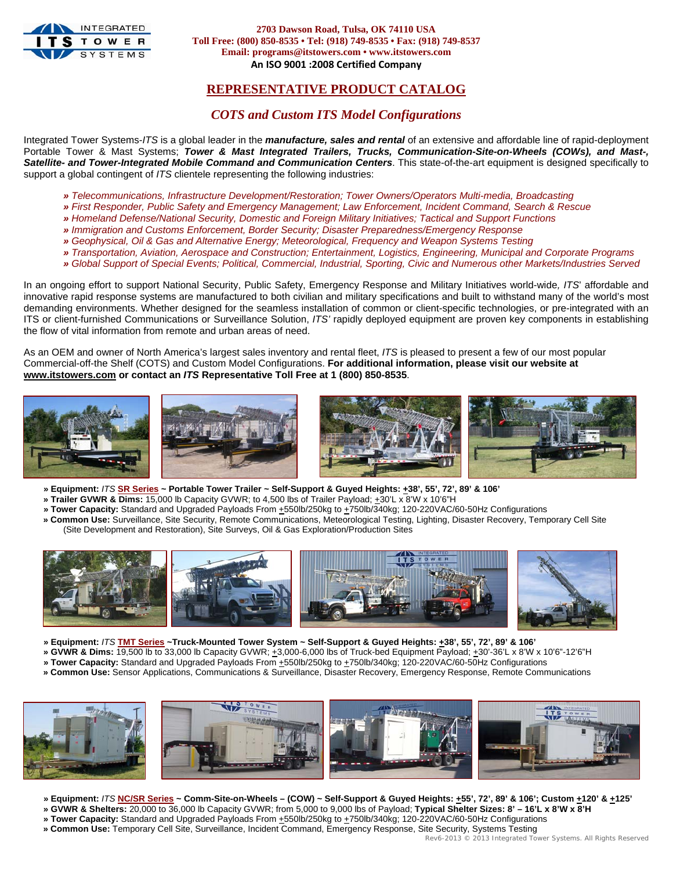

**2703 Dawson Road, Tulsa, OK 74110 USA Toll Free: (800) 850-8535 • Tel: (918) 749-8535 • Fax: (918) 749-8537 Email: programs@itstowers.com • www.itstowers.com An ISO 9001 :2008 Certified Company**

## **REPRESENTATIVE PRODUCT CATALOG**

### *COTS and Custom ITS Model Configurations*

Integrated Tower Systems-*ITS* is a global leader in the *manufacture, sales and rental* of an extensive and affordable line of rapid-deployment Portable Tower & Mast Systems; *Tower & Mast Integrated Trailers, Trucks, Communication-Site-on-Wheels (COWs), and Mast-, Satellite- and Tower-Integrated Mobile Command and Communication Centers*. This state-of-the-art equipment is designed specifically to support a global contingent of *ITS* clientele representing the following industries:

- *» Telecommunications, Infrastructure Development/Restoration; Tower Owners/Operators Multi-media, Broadcasting*
- *» First Responder, Public Safety and Emergency Management; Law Enforcement, Incident Command, Search & Rescue*
- *» Homeland Defense/National Security, Domestic and Foreign Military Initiatives; Tactical and Support Functions*
- *» Immigration and Customs Enforcement, Border Security; Disaster Preparedness/Emergency Response*
- *» Geophysical, Oil & Gas and Alternative Energy; Meteorological, Frequency and Weapon Systems Testing*
- *» Transportation, Aviation, Aerospace and Construction; Entertainment, Logistics, Engineering, Municipal and Corporate Programs*
- *» Global Support of Special Events; Political, Commercial, Industrial, Sporting, Civic and Numerous other Markets/Industries Served*

In an ongoing effort to support National Security, Public Safety, Emergency Response and Military Initiatives world-wide*, ITS*' affordable and innovative rapid response systems are manufactured to both civilian and military specifications and built to withstand many of the world's most demanding environments. Whether designed for the seamless installation of common or client-specific technologies, or pre-integrated with an ITS or client-furnished Communications or Surveillance Solution, *ITS'* rapidly deployed equipment are proven key components in establishing the flow of vital information from remote and urban areas of need.

As an OEM and owner of North America's largest sales inventory and rental fleet, *ITS* is pleased to present a few of our most popular Commercial-off-the Shelf (COTS) and Custom Model Configurations. **For additional information, please visit our website at www.itstowers.com or contact an** *ITS* **Representative Toll Free at 1 (800) 850-8535**.



- **» Equipment:** *ITS* **SR Series ~ Portable Tower Trailer ~ Self-Support & Guyed Heights: +38', 55', 72', 89' & 106'**
- **» Trailer GVWR & Dims:** 15,000 lb Capacity GVWR; to 4,500 lbs of Trailer Payload; +30'L x 8'W x 10'6"H
- **» Tower Capacity:** Standard and Upgraded Payloads From +550lb/250kg to +750lb/340kg; 120-220VAC/60-50Hz Configurations
- **» Common Use:** Surveillance, Site Security, Remote Communications, Meteorological Testing, Lighting, Disaster Recovery, Temporary Cell Site (Site Development and Restoration), Site Surveys, Oil & Gas Exploration/Production Sites



- **» Equipment:** *ITS* **TMT Series ~Truck-Mounted Tower System ~ Self-Support & Guyed Heights: +38', 55', 72', 89' & 106'**
- **» GVWR & Dims:** 19,500 lb to 33,000 lb Capacity GVWR; +3,000-6,000 lbs of Truck-bed Equipment Payload; +30'-36'L x 8'W x 10'6"-12'6"H
- » Tower Capacity: Standard and Upgraded Payloads From +550lb/250kg to +750lb/340kg; 120-220VAC/60-50Hz Configurations
- **» Common Use:** Sensor Applications, Communications & Surveillance, Disaster Recovery, Emergency Response, Remote Communications



- » Equipment: /TS NC/SR Series ~ Comm-Site-on-Wheels (COW) ~ Self-Support & Guyed Heights: ±55', 72', 89' & 106'; Custom ±120' & ±125'
- **» GVWR & Shelters:** 20,000 to 36,000 lb Capacity GVWR; from 5,000 to 9,000 lbs of Payload; **Typical Shelter Sizes: 8' 16'L x 8'W x 8'H**
- » Tower Capacity: Standard and Upgraded Payloads From +550lb/250kg to +750lb/340kg; 120-220VAC/60-50Hz Configurations
- **» Common Use:** Temporary Cell Site, Surveillance, Incident Command, Emergency Response, Site Security, Systems Testing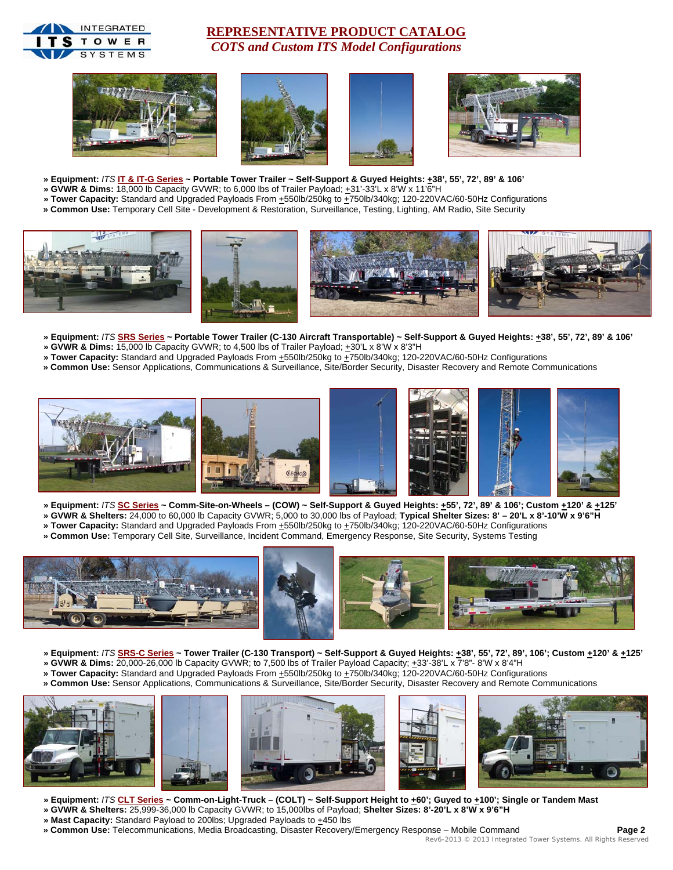

## **REPRESENTATIVE PRODUCT CATALOG** *COTS and Custom ITS Model Configurations*









- **» Equipment:** *ITS* **IT & IT-G Series ~ Portable Tower Trailer ~ Self-Support & Guyed Heights: +38', 55', 72', 89' & 106'**
- **» GVWR & Dims:** 18,000 lb Capacity GVWR; to 6,000 lbs of Trailer Payload; +31'-33'L x 8'W x 11'6"H
- » Tower Capacity: Standard and Upgraded Payloads From  $\pm$ 550lb/250kg to  $\pm$ 750lb/340kg; 120-220VAC/60-50Hz Configurations
- **» Common Use:** Temporary Cell Site Development & Restoration, Surveillance, Testing, Lighting, AM Radio, Site Security



- **» Equipment:** *ITS* **SRS Series ~ Portable Tower Trailer (C-130 Aircraft Transportable) ~ Self-Support & Guyed Heights: +38', 55', 72', 89' & 106'**
- » GVWR & Dims: 15,000 lb Capacity GVWR; to 4,500 lbs of Trailer Payload;  $\pm 30^{\circ}$ L x 8'W x 8'3"H
- **» Tower Capacity:** Standard and Upgraded Payloads From +550lb/250kg to +750lb/340kg; 120-220VAC/60-50Hz Configurations
- **» Common Use:** Sensor Applications, Communications & Surveillance, Site/Border Security, Disaster Recovery and Remote Communications



- **» Equipment:** *ITS* **SC Series ~ Comm-Site-on-Wheels (COW) ~ Self-Support & Guyed Heights: +55', 72', 89' & 106'; Custom +120' & +125'**
- **» GVWR & Shelters:** 24,000 to 60,000 lb Capacity GVWR; 5,000 to 30,000 lbs of Payload; **Typical Shelter Sizes: 8' 20'L x 8'-10'W x 9'6"H**
- » Tower Capacity: Standard and Upgraded Payloads From  $\pm$ 550lb/250kg to  $\pm$ 750lb/340kg; 120-220VAC/60-50Hz Configurations  **» Common Use:** Temporary Cell Site, Surveillance, Incident Command, Emergency Response, Site Security, Systems Testing
- 



- » Equipment: /TS SRS-C Series ~ Tower Trailer (C-130 Transport) ~ Self-Support & Guyed Heights:  $\pm 38'$ , 55', 72', 89', 106'; Custom  $\pm 120'$  &  $\pm 125'$
- **» GVWR & Dims:** 20,000-26,000 lb Capacity GVWR; to 7,500 lbs of Trailer Payload Capacity; +33'-38'L x 7'8"- 8'W x 8'4"H
- **» Tower Capacity:** Standard and Upgraded Payloads From +550lb/250kg to +750lb/340kg; 120-220VAC/60-50Hz Configurations
- **» Common Use:** Sensor Applications, Communications & Surveillance, Site/Border Security, Disaster Recovery and Remote Communications



- » Equipment: /TS CLT Series ~ Comm-on-Light-Truck (COLT) ~ Self-Support Height to +60'; Guyed to +100'; Single or Tandem Mast **» GVWR & Shelters:** 25,999-36,000 lb Capacity GVWR; to 15,000lbs of Payload; **Shelter Sizes: 8'-20'L x 8'W x 9'6"H**
- » Mast Capacity: Standard Payload to 200lbs; Upgraded Payloads to +450 lbs
- **» Common Use:** Telecommunications, Media Broadcasting, Disaster Recovery/Emergency Response Mobile Command **Page 2**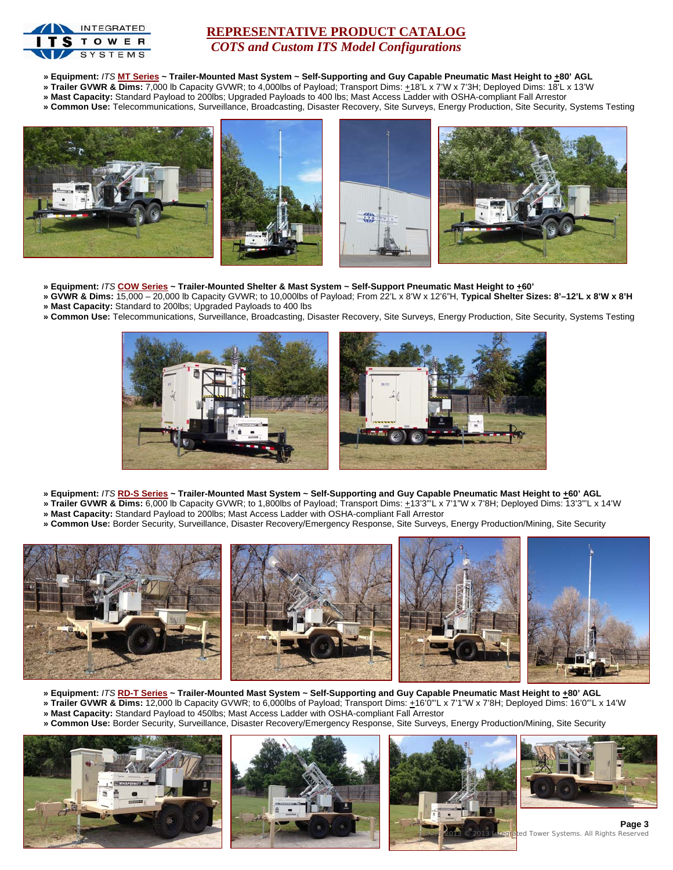

### **REPRESENTATIVE PRODUCT CATALOG** *COTS and Custom ITS Model Configurations*

- **» Equipment:** *ITS* **MT Series ~ Trailer-Mounted Mast System ~ Self-Supporting and Guy Capable Pneumatic Mast Height to +80' AGL**
- **» Trailer GVWR & Dims:** 7,000 lb Capacity GVWR; to 4,000lbs of Payload; Transport Dims: +18'L x 7'W x 7'3H; Deployed Dims: 18'L x 13'W
- **» Mast Capacity:** Standard Payload to 200lbs; Upgraded Payloads to 400 lbs; Mast Access Ladder with OSHA-compliant Fall Arrestor
- **» Common Use:** Telecommunications, Surveillance, Broadcasting, Disaster Recovery, Site Surveys, Energy Production, Site Security, Systems Testing



- **» Equipment:** *ITS* **COW Series ~ Trailer-Mounted Shelter & Mast System ~ Self-Support Pneumatic Mast Height to +60'**
- **» GVWR & Dims:** 15,000 20,000 lb Capacity GVWR; to 10,000lbs of Payload; From 22'L x 8'W x 12'6"H, **Typical Shelter Sizes: 8'–12'L x 8'W x 8'H**
- **» Mast Capacity:** Standard to 200lbs; Upgraded Payloads to 400 lbs
- **» Common Use:** Telecommunications, Surveillance, Broadcasting, Disaster Recovery, Site Surveys, Energy Production, Site Security, Systems Testing



- **» Equipment:** *ITS* **RD-S Series ~ Trailer-Mounted Mast System ~ Self-Supporting and Guy Capable Pneumatic Mast Height to +60' AGL**
- **» Trailer GVWR & Dims:** 6,000 lb Capacity GVWR; to 1,800lbs of Payload; Transport Dims: +13'3"'L x 7'1"W x 7'8H; Deployed Dims: 13'3"'L x 14'W
- **» Mast Capacity:** Standard Payload to 200lbs; Mast Access Ladder with OSHA-compliant Fall Arrestor
- **» Common Use:** Border Security, Surveillance, Disaster Recovery/Emergency Response, Site Surveys, Energy Production/Mining, Site Security



- **» Equipment:** *ITS* **RD-T Series ~ Trailer-Mounted Mast System ~ Self-Supporting and Guy Capable Pneumatic Mast Height to +80' AGL**
- **» Trailer GVWR & Dims:** 12,000 lb Capacity GVWR; to 6,000lbs of Payload; Transport Dims: +16'0"'L x 7'1"W x 7'8H; Deployed Dims: 16'0"'L x 14'W
- **» Mast Capacity:** Standard Payload to 450lbs; Mast Access Ladder with OSHA-compliant Fall Arrestor
- **» Common Use:** Border Security, Surveillance, Disaster Recovery/Emergency Response, Site Surveys, Energy Production/Mining, Site Security







**Page 3** d Tower Systems. All Rights Reser